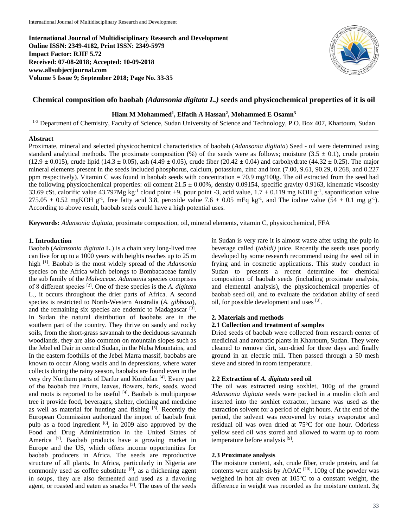**International Journal of Multidisciplinary Research and Development Online ISSN: 2349-4182, Print ISSN: 2349-5979 Impact Factor: RJIF 5.72 Received: 07-08-2018; Accepted: 10-09-2018 www.allsubjectjournal.com Volume 5 Issue 9; September 2018; Page No. 33-35**



# **Chemical composition ofo baobab** *(Adansonia digitata L.)* **seeds and physicochemical properties of it is oil**

# **Hiam M Mohammed<sup>1</sup> , Elfatih A Hassan<sup>2</sup> , Mohammed E Osamn<sup>3</sup>**

<sup>1-3</sup> Department of Chemistry, Faculty of Science, Sudan University of Science and Technology, P.O. Box 407, Khartoum, Sudan

#### **Abstract**

Proximate, mineral and selected physicochemical characteristics of baobab (*Adansonia digitata*) Seed - oil were determined using standard analytical methods. The proximate composition (%) of the seeds were as follows; moisture  $(3.5 \pm 0.1)$ , crude protein  $(12.9 \pm 0.015)$ , crude lipid  $(14.3 \pm 0.05)$ , ash  $(4.49 \pm 0.05)$ , crude fiber  $(20.42 \pm 0.04)$  and carbohydrate  $(44.32 \pm 0.25)$ . The major mineral elements present in the seeds included phosphorus, calcium, potassium, zinc and iron (7.00, 9.61, 90.29, 0.268, and 0.227 ppm respectively). Vitamin C was found in baobab seeds with concentration  $= 70.9 \text{ mg}/100 \text{g}$ . The oil extracted from the seed had the following physicochemical properties: oil content  $21.5 \pm 0.00\%$ , density 0.09154, specific gravity 0.9163, kinematic viscosity 33.69 cSt, calorific value 43.797Mg kg<sup>-1</sup> cloud point +9, pour point -3, acid value,  $1.7 \pm 0.119$  mg KOH g<sup>-1</sup>, saponification value 275.05  $\pm$  0.52 mgKOH g<sup>-1</sup>, free fatty acid 3.8, peroxide value 7.6  $\pm$  0.05 mEq kg<sup>-1</sup>, and The iodine value (54  $\pm$  0.1 mg g<sup>-1</sup>). According to above result, baobab seeds could have a high potential uses.

**Keywords:** *Adansonia digitata*, proximate composition, oil, mineral elements, vitamin C, physicochemical, FFA

#### **1. Introduction**

Baobab (*Adansonia digitata* L.) is a chain very long-lived tree can live for up to a 1000 years with heights reaches up to 25 m high [1]. Baobab is the most widely spread of the *Adansonia* species on the Africa which belongs to Bombacaceae family the sub family of the *Malvaceae*. *Adansoni*a species comprises of 8 different species [2] . One of these species is the *A. digitata* L., it occurs throughout the drier parts of Africa. A second species is restricted to North-Western Australia (*A. gibbosa*), and the remaining six species are endemic to Madagascar<sup>[3]</sup>. In Sudan the natural distribution of baobabs are in the southern part of the country. They thrive on sandy and rocky soils, from the short-grass savannah to the deciduous savannah woodlands. they are also common on mountain slopes such as the Jebel ed Dair in central Sudan, in the Nuba Mountains, and In the eastern foothills of the Jebel Marra massif, baobabs are known to occur Along wadis and in depressions, where water collects during the rainy season, baobabs are found even in the very dry Northern parts of Darfur and Kordofan [4]. Every part of the baobab tree Fruits, leaves, flowers, bark, seeds, wood and roots is reported to be useful  $[4]$ . Baobab is multipurpose tree it provide food, beverages, shelter, clothing and medicine as well as material for hunting and fishing [5]. Recently the European Commission authorized the import of baobab fruit pulp as a food ingredient [6], in 2009 also approved by the Food and Drug Administration in the United States of America<sup>[7]</sup>. Baobab products have a growing market in Europe and the US, which offers income opportunities for baobab producers in Africa. The seeds are reproductive structure of all plants. In Africa, particularly in Nigeria are commonly used as coffee substitute [8], as a thickening agent in soups, they are also fermented and used as a flavoring agent, or roasted and eaten as snacks [3]. The uses of the seeds

in Sudan is very rare it is almost waste after using the pulp in beverage called (*tabldi)* juice. Recently the seeds uses poorly developed by some research recommend using the seed oil in frying and in cosmetic applications. This study conduct in Sudan to presents a recent determine for chemical composition of baobab seeds (including proximate analysis, and elemental analysis), the physicochemical properties of baobab seed oil, and to evaluate the oxidation ability of seed oil, for possible development and uses [3].

## **2. Materials and methods**

#### **2.1 Collection and treatment of samples**

Dried seeds of baobab were collected from research center of medicinal and aromatic plants in Khartoum, Sudan. They were cleaned to remove dirt, sun-dried for three days and finally ground in an electric mill. Then passed through a 50 mesh sieve and stored in room temperature.

## **2.2 Extraction of** *A. digitata* **seed oil**

The oil was extracted using soxhlet, 100g of the ground *Adansonia digitata* seeds were packed in a muslin cloth and inserted into the soxhlet extractor, hexane was used as the extraction solvent for a period of eight hours. At the end of the period, the solvent was recovered by rotary evaporator and residual oil was oven dried at 75°C for one hour. Odorless yellow seed oil was stored and allowed to warm up to room temperature before analysis [9].

## **2.3 Proximate analysis**

The moisture content, ash, crude fiber, crude protein, and fat contents were analysis by AOAC  $[10]$ . 100g of the powder was weighed in hot air oven at  $105^{\circ}$ C to a constant weight, the difference in weight was recorded as the moisture content. 3g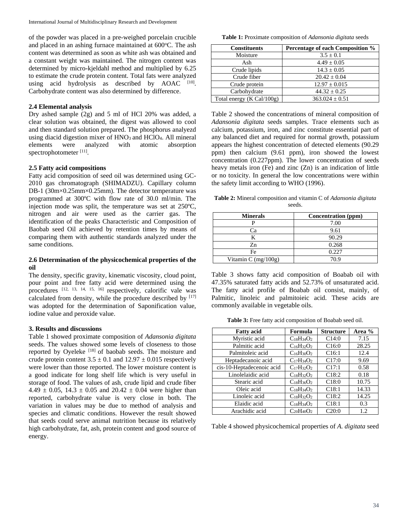of the powder was placed in a pre-weighed porcelain crucible and placed in an ashing furnace maintained at  $600^{\circ}$ C. The ash content was determined as soon as white ash was obtained and a constant weight was maintained. The nitrogen content was determined by micro-kjeldahl method and multiplied by 6.25 to estimate the crude protein content. Total fats were analyzed using acid hydrolysis as described by AOAC <a>[10]</a>. Carbohydrate content was also determined by difference.

#### **2.4 Elemental analysis**

Dry ashed sample (2g) and 5 ml of HCl 20% was added, a clear solution was obtained, the digest was allowed to cool and then standard solution prepared. The phosphorus analyezd using diacid digestion mixer of  $HNO<sub>3</sub>$  and  $HClO<sub>4</sub>$ . All mineral elements were analyzed with atomic absorption spectrophotometer [11].

# **2.5 Fatty acid compositions**

Fatty acid composition of seed oil was determined using GC-2010 gas chromatograph (SHIMADZU). Capillary column DB-1 (30m×0.25mm×0.25mm). The detector temperature was programmed at 300ºC with flow rate of 30.0 ml/min. The injection mode was split, the temperature was set at 250ºC, nitrogen and air were used as the carrier gas. The identification of the peaks Characteristic and Composition of Baobab seed Oil achieved by retention times by means of comparing them with authentic standards analyzed under the same conditions.

# **2.6 Determination of the physicochemical properties of the oil**

The density, specific gravity, kinematic viscosity, cloud point, pour point and free fatty acid were determined using the procedures  $[12, 13, 14, 15, 16]$  respectively, calorific vale was calculated from density, while the procedure described by  $[17]$ was adopted for the determination of Saponification value, iodine value and peroxide value.

#### **3. Results and discussions**

Table 1 showed proximate composition of *Adansonia digitata* seeds. The values showed some levels of closeness to those reported by Oyeleke [18] of baobab seeds. The moisture and crude protein content  $3.5 \pm 0.1$  and  $12.97 \pm 0.015$  respectively were lower than those reported. The lower moisture content is a good indicate for long shelf life which is very useful in storage of food. The values of ash, crude lipid and crude fiber 4.49  $\pm$  0.05, 14.3  $\pm$  0.05 and 20.42  $\pm$  0.04 were higher than reported, carbohydrate value is very close in both. The variation in values may be due to method of analysis and species and climatic conditions. However the result showed that seeds could serve animal nutrition because its relatively high carbohydrate, fat, ash, protein content and good source of energy.

**Table 1:** Proximate composition of *Adansonia digitata* seeds

| <b>Constituents</b>       | Percentage of each Composition % |
|---------------------------|----------------------------------|
| Moisture                  | $3.5 \pm 0.1$                    |
| Ash                       | $4.49 \pm 0.05$                  |
| Crude lipids              | $14.3 \pm 0.05$                  |
| Crude fiber               | $20.42 \pm 0.04$                 |
| Crude protein             | $12.97 \pm 0.015$                |
| Carbohydrate              | $44.32 \pm 0.25$                 |
| Total energy (K Cal/100g) | $363.024 \pm 0.51$               |

Table 2 showed the concentrations of mineral composition of *Adansonia digitata* seeds samples. Trace elements such as calcium, potassium, iron, and zinc constitute essential part of any balanced diet and required for normal growth, potassium appears the highest concentration of detected elements (90.29 ppm) then calcium (9.61 ppm), iron showed the lowest concentration (0.227ppm). The lower concentration of seeds heavy metals iron (Fe) and zinc (Zn) is an indication of little or no toxicity. In general the low concentrations were within the safety limit according to WHO (1996).

**Table 2:** Mineral composition and vitamin C of *Adansonia digitata* seeds.

| <b>Minerals</b>       | Concentration (ppm) |
|-----------------------|---------------------|
|                       | 7.00                |
| ⊇a                    | 9.61                |
|                       | 90.29               |
| Zn                    | 0.268               |
| Fe                    | 0.227               |
| Vitamin C $(mg/100g)$ | 70.9                |

Table 3 shows fatty acid composition of Boabab oil with 47.35% saturated fatty acids and 52.73% of unsaturated acid. The fatty acid profile of Boabab oil consist, mainly, of Palmitic, linoleic and palmitoieic acid. These acids are commonly available in vegetable oils.

**Table 3:** Free fatty acid composition of Boabab seed oil.

| <b>Fatty acid</b>         | Formula           | <b>Structure</b> | Area % |
|---------------------------|-------------------|------------------|--------|
| Myristic acid             | $C_{18}H_{34}O_2$ | C14:0            | 7.15   |
| Palmitic acid             | $C_{16}H_{32}O_2$ | C16:0            | 28.25  |
| Palmitoleic acid          | $C_{16}H_{30}O_2$ | C16:1            | 12.4   |
| Heptadecanoic acid        | $C_{17}H_{34}O_2$ | C17:0            | 9.69   |
| cis-10-Heptadecenoic acid | $C_{17}H_{32}O_2$ | C17:1            | 0.58   |
| Linolelaidic acid         | $C_{18}H_{32}O_2$ | C18:2            | 0.18   |
| Stearic acid              | $C_{18}H_{36}O_2$ | C18:0            | 10.75  |
| Oleic acid                | $C_{18}H_{34}O_2$ | C18:1            | 14.33  |
| Linoleic acid             | $C_{18}H_{32}O_2$ | C18:2            | 14.25  |
| Elaidic acid              | $C_{18}H_{34}O_2$ | C18:1            | 0.3    |
| Arachidic acid            | $C_{20}H_{40}O_2$ | C20:0            | 1.2    |

Table 4 showed physicochemical properties of *A. digitata* seed